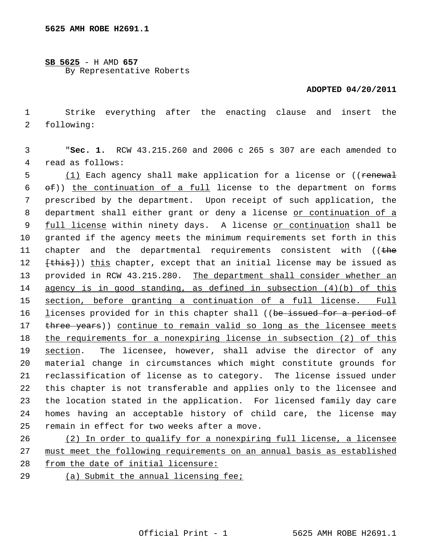## **SB 5625** - H AMD **657** By Representative Roberts

## **ADOPTED 04/20/2011**

 1 Strike everything after the enacting clause and insert the 2 following:

 3 "**Sec. 1.** RCW 43.215.260 and 2006 c 265 s 307 are each amended to 4 read as follows:

5 (1) Each agency shall make application for a license or ((renewal  $6$   $\Theta$ )) the continuation of a full license to the department on forms 7 prescribed by the department. Upon receipt of such application, the 8 department shall either grant or deny a license or continuation of a 9 full license within ninety days. A license or continuation shall be 10 granted if the agency meets the minimum requirements set forth in this 11 chapter and the departmental requirements consistent with ((the 12 <del>[this]</del>)) this chapter, except that an initial license may be issued as 13 provided in RCW 43.215.280. The department shall consider whether an 14 agency is in good standing, as defined in subsection (4)(b) of this 15 section, before granting a continuation of a full license. Full 16 licenses provided for in this chapter shall ((be issued for a period of 17 three years)) continue to remain valid so long as the licensee meets 18 the requirements for a nonexpiring license in subsection (2) of this 19 section. The licensee, however, shall advise the director of any 20 material change in circumstances which might constitute grounds for 21 reclassification of license as to category. The license issued under 22 this chapter is not transferable and applies only to the licensee and 23 the location stated in the application. For licensed family day care 24 homes having an acceptable history of child care, the license may 25 remain in effect for two weeks after a move.

26 (2) In order to qualify for a nonexpiring full license, a licensee 27 must meet the following requirements on an annual basis as established 28 from the date of initial licensure:

29 (a) Submit the annual licensing fee;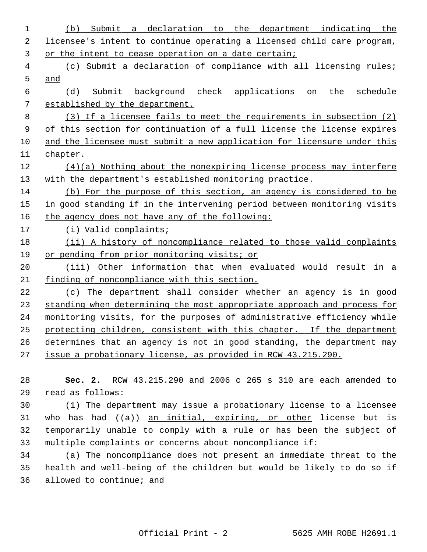| 1  | Submit a declaration to the department indicating the<br>(b)            |
|----|-------------------------------------------------------------------------|
| 2  | licensee's intent to continue operating a licensed child care program,  |
| 3  | or the intent to cease operation on a date certain;                     |
| 4  | (c) Submit a declaration of compliance with all licensing rules;        |
| 5  | and                                                                     |
| 6  | Submit background check applications<br>on the<br>schedule<br>(d)       |
| 7  | established by the department.                                          |
| 8  | (3) If a licensee fails to meet the requirements in subsection (2)      |
| 9  | of this section for continuation of a full license the license expires  |
| 10 | and the licensee must submit a new application for licensure under this |
| 11 | chapter.                                                                |
| 12 | $(4)(a)$ Nothing about the nonexpiring license process may interfere    |
| 13 | with the department's established monitoring practice.                  |
| 14 | (b) For the purpose of this section, an agency is considered to be      |
| 15 | in good standing if in the intervening period between monitoring visits |
| 16 | the agency does not have any of the following:                          |
| 17 | (i) Valid complaints;                                                   |
| 18 | (ii) A history of noncompliance related to those valid complaints       |
| 19 | or pending from prior monitoring visits; or                             |
| 20 | (iii) Other information that when evaluated would result in a           |
| 21 | finding of noncompliance with this section.                             |
| 22 | (c) The department shall consider whether an agency is in good          |
| 23 | standing when determining the most appropriate approach and process for |
| 24 | monitoring visits, for the purposes of administrative efficiency while  |
| 25 | protecting children, consistent with this chapter. If the department    |
| 26 | determines that an agency is not in good standing, the department may   |
| 27 | issue a probationary license, as provided in RCW 43.215.290.            |
|    |                                                                         |
| 28 | RCW 43.215.290 and 2006 c 265 s 310 are each amended to<br>Sec. $2.$    |
| 29 | read as follows:                                                        |

30 (1) The department may issue a probationary license to a licensee 31 who has had  $((a))$  an initial, expiring, or other license but is 32 temporarily unable to comply with a rule or has been the subject of 33 multiple complaints or concerns about noncompliance if:

34 (a) The noncompliance does not present an immediate threat to the 35 health and well-being of the children but would be likely to do so if 36 allowed to continue; and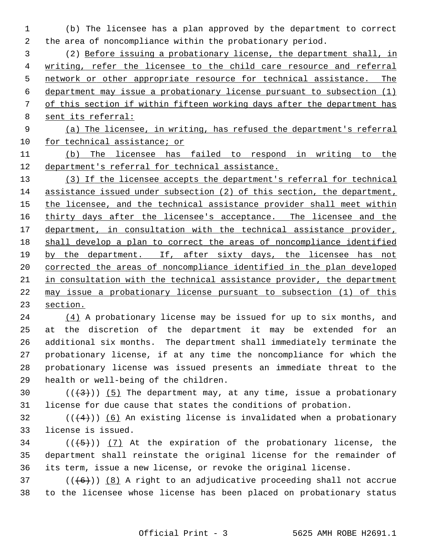1 (b) The licensee has a plan approved by the department to correct 2 the area of noncompliance within the probationary period.

 3 (2) Before issuing a probationary license, the department shall, in writing, refer the licensee to the child care resource and referral network or other appropriate resource for technical assistance. The department may issue a probationary license pursuant to subsection (1) of this section if within fifteen working days after the department has 8 sent its referral:

 9 (a) The licensee, in writing, has refused the department's referral 10 for technical assistance; or

11 (b) The licensee has failed to respond in writing to the 12 department's referral for technical assistance.

 (3) If the licensee accepts the department's referral for technical assistance issued under subsection (2) of this section, the department, the licensee, and the technical assistance provider shall meet within 16 thirty days after the licensee's acceptance. The licensee and the department, in consultation with the technical assistance provider, shall develop a plan to correct the areas of noncompliance identified 19 by the department. If, after sixty days, the licensee has not corrected the areas of noncompliance identified in the plan developed in consultation with the technical assistance provider, the department may issue a probationary license pursuant to subsection (1) of this 23 section.

24 (4) A probationary license may be issued for up to six months, and 25 at the discretion of the department it may be extended for an 26 additional six months. The department shall immediately terminate the 27 probationary license, if at any time the noncompliance for which the 28 probationary license was issued presents an immediate threat to the 29 health or well-being of the children.

30  $((+3))$  (5) The department may, at any time, issue a probationary 31 license for due cause that states the conditions of probation.

32  $((+4))$  (6) An existing license is invalidated when a probationary 33 license is issued.

 $34$  (( $\left(\frac{5}{7}\right)$ ) (7) At the expiration of the probationary license, the 35 department shall reinstate the original license for the remainder of 36 its term, issue a new license, or revoke the original license.

 $37$  (( $(6)$ )) (8) A right to an adjudicative proceeding shall not accrue 38 to the licensee whose license has been placed on probationary status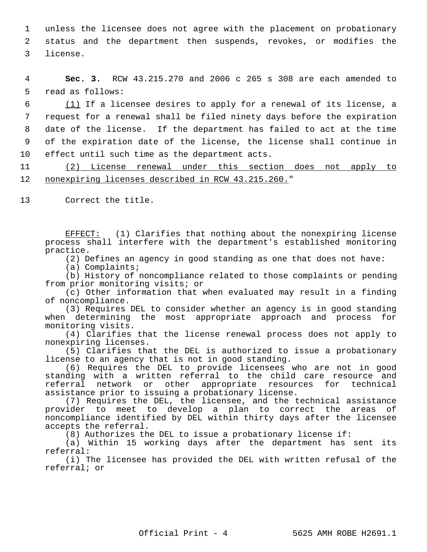1 unless the licensee does not agree with the placement on probationary 2 status and the department then suspends, revokes, or modifies the 3 license.

 4 **Sec. 3.** RCW 43.215.270 and 2006 c 265 s 308 are each amended to 5 read as follows:

 6 (1) If a licensee desires to apply for a renewal of its license, a 7 request for a renewal shall be filed ninety days before the expiration 8 date of the license. If the department has failed to act at the time 9 of the expiration date of the license, the license shall continue in 10 effect until such time as the department acts.

11 (2) License renewal under this section does not apply to 12 nonexpiring licenses described in RCW 43.215.260."

13 Correct the title.

EFFECT: (1) Clarifies that nothing about the nonexpiring license process shall interfere with the department's established monitoring practice.

(2) Defines an agency in good standing as one that does not have:

(a) Complaints;

(b) History of noncompliance related to those complaints or pending from prior monitoring visits; or

(c) Other information that when evaluated may result in a finding of noncompliance.

(3) Requires DEL to consider whether an agency is in good standing when determining the most appropriate approach and process for monitoring visits.

(4) Clarifies that the license renewal process does not apply to nonexpiring licenses.

(5) Clarifies that the DEL is authorized to issue a probationary license to an agency that is not in good standing.

(6) Requires the DEL to provide licensees who are not in good standing with a written referral to the child care resource and referral network or other appropriate resources for technical assistance prior to issuing a probationary license.

(7) Requires the DEL, the licensee, and the technical assistance provider to meet to develop a plan to correct the areas of noncompliance identified by DEL within thirty days after the licensee accepts the referral.

(8) Authorizes the DEL to issue a probationary license if:

(a) Within 15 working days after the department has sent its referral:

(i) The licensee has provided the DEL with written refusal of the referral; or